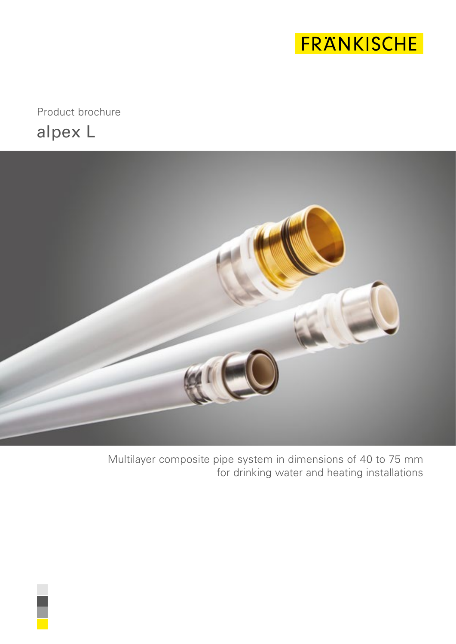

alpex L Product brochure



Multilayer composite pipe system in dimensions of 40 to 75 mm for drinking water and heating installations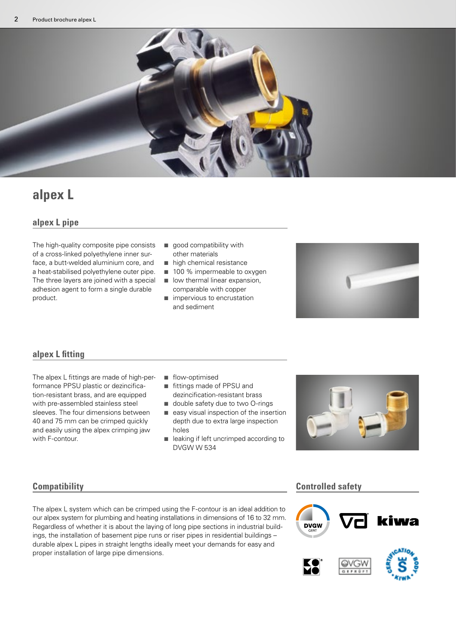

### **alpex L**

#### **alpex L pipe**

The high-quality composite pipe consists of a cross-linked polyethylene inner surface, a butt-welded aluminium core, and a heat-stabilised polyethylene outer pipe. The three layers are joined with a special adhesion agent to form a single durable product.

- $\Box$  good compatibility with other materials
- $\blacksquare$  high chemical resistance
- 100 % impermeable to oxygen
- $\blacksquare$  low thermal linear expansion, comparable with copper
- $\blacksquare$  impervious to encrustation and sediment



#### **alpex L fitting**

The alpex L fittings are made of high-performance PPSU plastic or dezincification-resistant brass, and are equipped with pre-assembled stainless steel sleeves. The four dimensions between 40 and 75 mm can be crimped quickly and easily using the alpex crimping jaw with F-contour.

- flow-optimised
- fittings made of PPSU and dezincification-resistant brass
- $\Box$  double safety due to two O-rings
- $\blacksquare$  easy visual inspection of the insertion depth due to extra large inspection holes
- e leaking if left uncrimped according to DVGW W 534



The alpex L system which can be crimped using the F-contour is an ideal addition to our alpex system for plumbing and heating installations in dimensions of 16 to 32 mm. Regardless of whether it is about the laying of long pipe sections in industrial buildings, the installation of basement pipe runs or riser pipes in residential buildings – durable alpex L pipes in straight lengths ideally meet your demands for easy and proper installation of large pipe dimensions.

#### **Compatibility Controlled safety**

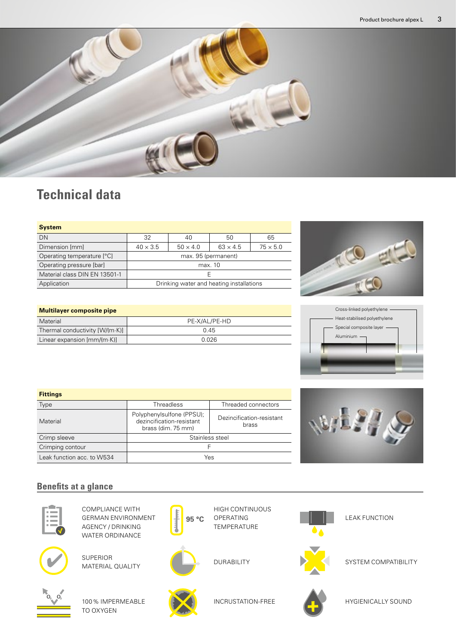

## **Technical data**

**Multilayer composite pipe**

| <b>System</b>                 |                                          |                 |                 |                 |  |
|-------------------------------|------------------------------------------|-----------------|-----------------|-----------------|--|
| DN                            | 32                                       | 40              | 50              | 65              |  |
| Dimension [mm]                | $40 \times 3.5$                          | $50 \times 4.0$ | $63 \times 4.5$ | $75 \times 5.0$ |  |
| Operating temperature [°C]    | max. 95 (permanent)                      |                 |                 |                 |  |
| Operating pressure [bar]      | max. 10                                  |                 |                 |                 |  |
| Material class DIN EN 13501-1 | F                                        |                 |                 |                 |  |
| Application                   | Drinking water and heating installations |                 |                 |                 |  |





| Material                                  | PE-X/AL/PE-HD |  |  |
|-------------------------------------------|---------------|--|--|
| Thermal conductivity [W/(m·K)]            | 0.45          |  |  |
| Linear expansion $\text{[mm/(m\cdot K)]}$ | 0.026         |  |  |
|                                           |               |  |  |

| <b>Fittings</b>            |                                                                              |                                    |  |
|----------------------------|------------------------------------------------------------------------------|------------------------------------|--|
| Type                       | Threadless                                                                   | Threaded connectors                |  |
| Material                   | Polyphenylsulfone (PPSU);<br>dezincification-resistant<br>brass (dim. 75 mm) | Dezincification-resistant<br>brass |  |
| Crimp sleeve               | Stainless steel                                                              |                                    |  |
| Crimping contour           |                                                                              |                                    |  |
| Leak function acc. to W534 | Yes                                                                          |                                    |  |



### **Benefits at a glance**



COMPLIANCE WITH GERMAN ENVIRONMENT AGENCY / DRINKING WATER ORDINANCE



SUPERIOR MATERIAL QUALITY



100% IMPERMEABLE TO OXYGEN



OPERATING TEMPERATURE

INCRUSTATION-FREE

HIGH CONTINUOUS



**95 °C**

DURABILITY



SYSTEM COMPATIBILITY

LEAK FUNCTION



HYGIENICALLY SOUND